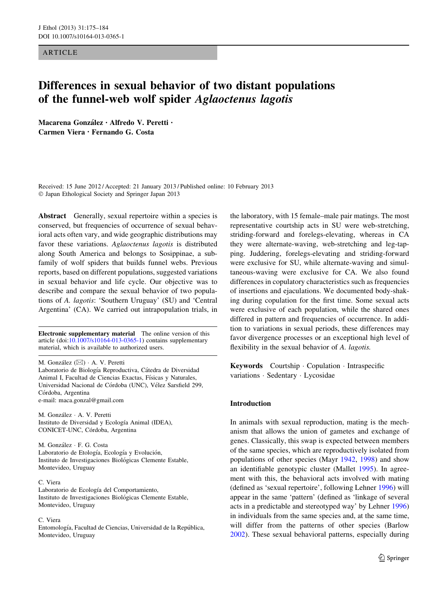**ARTICLE** 

# Differences in sexual behavior of two distant populations of the funnel-web wolf spider Aglaoctenus lagotis

Macarena González · Alfredo V. Peretti · Carmen Viera • Fernando G. Costa

Received: 15 June 2012 / Accepted: 21 January 2013 / Published online: 10 February 2013 - Japan Ethological Society and Springer Japan 2013

Abstract Generally, sexual repertoire within a species is conserved, but frequencies of occurrence of sexual behavioral acts often vary, and wide geographic distributions may favor these variations. Aglaoctenus lagotis is distributed along South America and belongs to Sosippinae, a subfamily of wolf spiders that builds funnel webs. Previous reports, based on different populations, suggested variations in sexual behavior and life cycle. Our objective was to describe and compare the sexual behavior of two populations of A. lagotis: 'Southern Uruguay' (SU) and 'Central Argentina' (CA). We carried out intrapopulation trials, in

Electronic supplementary material The online version of this article (doi:[10.1007/s10164-013-0365-1\)](http://dx.doi.org/10.1007/s10164-013-0365-1) contains supplementary material, which is available to authorized users.

M. González ( $\boxtimes$ ) · A. V. Peretti Laboratorio de Biología Reproductiva, Cátedra de Diversidad Animal I, Facultad de Ciencias Exactas, Físicas y Naturales, Universidad Nacional de Córdoba (UNC), Vélez Sarsfield 299, Córdoba, Argentina e-mail: maca.gonzal@gmail.com

M. González · A. V. Peretti Instituto de Diversidad y Ecología Animal (IDEA), CONICET-UNC, Córdoba, Argentina

M. González · F. G. Costa Laboratorio de Etología, Ecología y Evolución, Instituto de Investigaciones Biológicas Clemente Estable, Montevideo, Uruguay

## C. Viera

Laboratorio de Ecología del Comportamiento, Instituto de Investigaciones Biológicas Clemente Estable, Montevideo, Uruguay

## C. Viera

Entomología, Facultad de Ciencias, Universidad de la República, Montevideo, Uruguay

the laboratory, with 15 female–male pair matings. The most representative courtship acts in SU were web-stretching, striding-forward and forelegs-elevating, whereas in CA they were alternate-waving, web-stretching and leg-tapping. Juddering, forelegs-elevating and striding-forward were exclusive for SU, while alternate-waving and simultaneous-waving were exclusive for CA. We also found differences in copulatory characteristics such as frequencies of insertions and ejaculations. We documented body-shaking during copulation for the first time. Some sexual acts were exclusive of each population, while the shared ones differed in pattern and frequencies of occurrence. In addition to variations in sexual periods, these differences may favor divergence processes or an exceptional high level of flexibility in the sexual behavior of A. *lagotis*.

Keywords Courtship - Copulation - Intraspecific variations - Sedentary - Lycosidae

#### Introduction

In animals with sexual reproduction, mating is the mechanism that allows the union of gametes and exchange of genes. Classically, this swap is expected between members of the same species, which are reproductively isolated from populations of other species (Mayr [1942,](#page-9-0) [1998\)](#page-9-0) and show an identifiable genotypic cluster (Mallet [1995\)](#page-8-0). In agreement with this, the behavioral acts involved with mating (defined as 'sexual repertoire', following Lehner [1996\)](#page-8-0) will appear in the same 'pattern' (defined as 'linkage of several acts in a predictable and stereotyped way' by Lehner [1996\)](#page-8-0) in individuals from the same species and, at the same time, will differ from the patterns of other species (Barlow [2002](#page-7-0)). These sexual behavioral patterns, especially during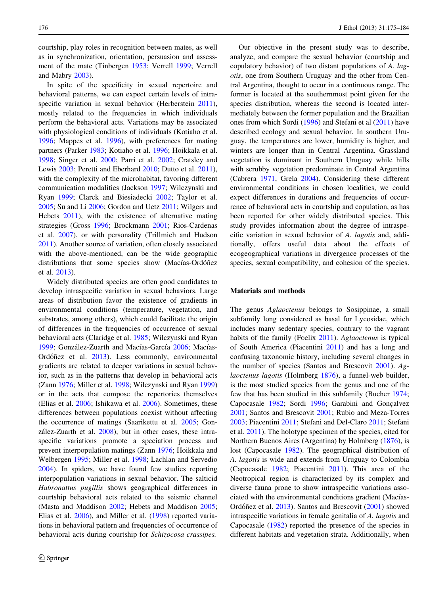courtship, play roles in recognition between mates, as well as in synchronization, orientation, persuasion and assessment of the mate (Tinbergen [1953](#page-9-0); Verrell [1999](#page-9-0); Verrell and Mabry [2003\)](#page-9-0).

In spite of the specificity in sexual repertoire and behavioral patterns, we can expect certain levels of intra-specific variation in sexual behavior (Herberstein [2011](#page-8-0)), mostly related to the frequencies in which individuals perform the behavioral acts. Variations may be associated with physiological conditions of individuals (Kotiaho et al. [1996;](#page-8-0) Mappes et al. [1996](#page-8-0)), with preferences for mating partners (Parker [1983;](#page-9-0) Kotiaho et al. [1996](#page-8-0); Hoikkala et al. [1998;](#page-8-0) Singer et al. [2000;](#page-9-0) Parri et al. [2002](#page-9-0); Cratsley and Lewis [2003](#page-8-0); Peretti and Eberhard [2010;](#page-9-0) Dutto et al. [2011](#page-8-0)), with the complexity of the microhabitat, favoring different communication modalities (Jackson [1997;](#page-8-0) Wilczynski and Ryan [1999](#page-9-0); Clarck and Biesiadecki [2002;](#page-8-0) Taylor et al. [2005;](#page-9-0) Su and Li [2006;](#page-9-0) Gordon and Uetz [2011;](#page-8-0) Wilgers and Hebets [2011](#page-9-0)), with the existence of alternative mating strategies (Gross [1996](#page-8-0); Brockmann [2001;](#page-8-0) Rios-Cardenas et al. [2007\)](#page-9-0), or with personality (Trillmich and Hudson [2011\)](#page-9-0). Another source of variation, often closely associated with the above-mentioned, can be the wide geographic distributions that some species show (Macías-Ordóñez et al. [2013\)](#page-8-0).

Widely distributed species are often good candidates to develop intraspecific variation in sexual behaviors. Large areas of distribution favor the existence of gradients in environmental conditions (temperature, vegetation, and substrates, among others), which could facilitate the origin of differences in the frequencies of occurrence of sexual behavioral acts (Claridge et al. [1985](#page-8-0); Wilczynski and Ryan [1999;](#page-9-0) González-Zuarth and Macías-García [2006](#page-8-0); Macías-Ordóñez et al. [2013](#page-8-0)). Less commonly, environmental gradients are related to deeper variations in sexual behavior, such as in the patterns that develop in behavioral acts (Zann [1976](#page-9-0); Miller et al. [1998](#page-9-0); Wilczynski and Ryan [1999\)](#page-9-0) or in the acts that compose the repertories themselves (Elias et al. [2006;](#page-8-0) Ishikawa et al. [2006](#page-8-0)). Sometimes, these differences between populations coexist without affecting the occurrence of matings (Saarikettu et al. [2005](#page-9-0); Gon-zález-Zuarth et al. [2008](#page-8-0)), but in other cases, these intraspecific variations promote a speciation process and prevent interpopulation matings (Zann [1976](#page-9-0); Hoikkala and Welbergen [1995;](#page-8-0) Miller et al. [1998;](#page-9-0) Lachlan and Servedio [2004\)](#page-8-0). In spiders, we have found few studies reporting interpopulation variations in sexual behavior. The salticid Habronattus pugillis shows geographical differences in courtship behavioral acts related to the seismic channel (Masta and Maddison [2002](#page-9-0); Hebets and Maddison [2005](#page-8-0); Elias et al. [2006\)](#page-8-0), and Miller et al. [\(1998](#page-9-0)) reported variations in behavioral pattern and frequencies of occurrence of behavioral acts during courtship for Schizocosa crassipes.

Our objective in the present study was to describe, analyze, and compare the sexual behavior (courtship and copulatory behavior) of two distant populations of A. lagotis, one from Southern Uruguay and the other from Central Argentina, thought to occur in a continuous range. The former is located at the southernmost point given for the species distribution, whereas the second is located intermediately between the former population and the Brazilian ones from which Sordi [\(1996](#page-9-0)) and Stefani et al ([2011\)](#page-9-0) have described ecology and sexual behavior. In southern Uruguay, the temperatures are lower, humidity is higher, and winters are longer than in Central Argentina. Grassland vegetation is dominant in Southern Uruguay while hills with scrubby vegetation predominate in Central Argentina (Cabrera [1971,](#page-8-0) Grela [2004](#page-8-0)). Considering these different environmental conditions in chosen localities, we could expect differences in durations and frequencies of occurrence of behavioral acts in courtship and copulation, as has been reported for other widely distributed species. This study provides information about the degree of intraspecific variation in sexual behavior of A. lagotis and, additionally, offers useful data about the effects of ecogeographical variations in divergence processes of the species, sexual compatibility, and cohesion of the species.

## Materials and methods

The genus Aglaoctenus belongs to Sosippinae, a small subfamily long considered as basal for Lycosidae, which includes many sedentary species, contrary to the vagrant habits of the family (Foelix [2011\)](#page-8-0). Aglaoctenus is typical of South America (Piacentini [2011\)](#page-9-0) and has a long and confusing taxonomic history, including several changes in the number of species (Santos and Brescovit [2001\)](#page-9-0). Ag-laoctenus lagotis (Holmberg [1876\)](#page-8-0), a funnel-web builder, is the most studied species from the genus and one of the few that has been studied in this subfamily (Bucher [1974](#page-8-0); Capocasale [1982](#page-8-0); Sordi [1996;](#page-9-0) Garabini and Gonçalvez [2001](#page-8-0); Santos and Brescovit [2001](#page-9-0); Rubio and Meza-Torres [2003](#page-9-0); Piacentini [2011](#page-9-0); Stefani and Del-Claro [2011](#page-9-0); Stefani et al. [2011\)](#page-9-0). The holotype specimen of the species, cited for Northern Buenos Aires (Argentina) by Holmberg [\(1876](#page-8-0)), is lost (Capocasale [1982\)](#page-8-0). The geographical distribution of A. lagotis is wide and extends from Uruguay to Colombia (Capocasale [1982;](#page-8-0) Piacentini [2011](#page-9-0)). This area of the Neotropical region is characterized by its complex and diverse fauna prone to show intraspecific variations associated with the environmental conditions gradient (Macías-Ordóñez et al. [2013\)](#page-8-0). Santos and Brescovit [\(2001](#page-9-0)) showed intraspecific variations in female genitalia of A. lagotis and Capocasale ([1982\)](#page-8-0) reported the presence of the species in different habitats and vegetation strata. Additionally, when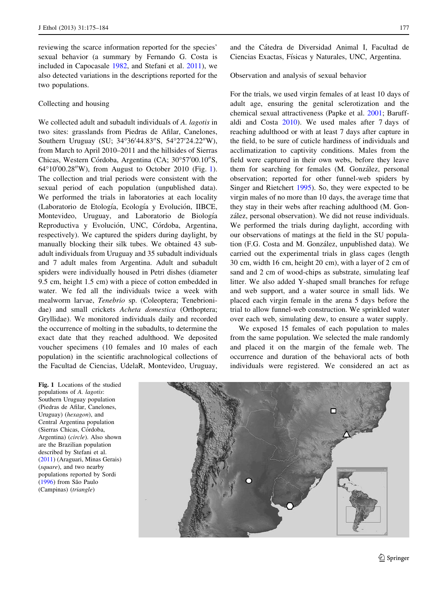reviewing the scarce information reported for the species' sexual behavior (a summary by Fernando G. Costa is included in Capocasale [1982](#page-8-0), and Stefani et al. [2011](#page-9-0)), we also detected variations in the descriptions reported for the two populations.

# Collecting and housing

We collected adult and subadult individuals of A. lagotis in two sites: grasslands from Piedras de Afilar, Canelones, Southern Uruguay (SU; 34°36'44.83"S, 54°27'24.22"W), from March to April 2010–2011 and the hillsides of Sierras Chicas, Western Córdoba, Argentina (CA; 30°57'00.10"S, 64°10'00.28"W), from August to October 2010 (Fig. 1). The collection and trial periods were consistent with the sexual period of each population (unpublished data). We performed the trials in laboratories at each locality (Laboratorio de Etología, Ecología y Evolución, IIBCE, Montevideo, Uruguay, and Laboratorio de Biología Reproductiva y Evolución, UNC, Córdoba, Argentina, respectively). We captured the spiders during daylight, by manually blocking their silk tubes. We obtained 43 subadult individuals from Uruguay and 35 subadult individuals and 7 adult males from Argentina. Adult and subadult spiders were individually housed in Petri dishes (diameter 9.5 cm, height 1.5 cm) with a piece of cotton embedded in water. We fed all the individuals twice a week with mealworm larvae, Tenebrio sp. (Coleoptera; Tenebrionidae) and small crickets Acheta domestica (Orthoptera; Gryllidae). We monitored individuals daily and recorded the occurrence of molting in the subadults, to determine the exact date that they reached adulthood. We deposited voucher specimens (10 females and 10 males of each population) in the scientific arachnological collections of the Facultad de Ciencias, UdelaR, Montevideo, Uruguay, and the Ca´tedra de Diversidad Animal I, Facultad de Ciencias Exactas, Físicas y Naturales, UNC, Argentina.

Observation and analysis of sexual behavior

For the trials, we used virgin females of at least 10 days of adult age, ensuring the genital sclerotization and the chemical sexual attractiveness (Papke et al. [2001](#page-9-0); Baruffaldi and Costa [2010](#page-7-0)). We used males after 7 days of reaching adulthood or with at least 7 days after capture in the field, to be sure of cuticle hardiness of individuals and acclimatization to captivity conditions. Males from the field were captured in their own webs, before they leave them for searching for females (M. González, personal observation; reported for other funnel-web spiders by Singer and Rietchert [1995](#page-9-0)). So, they were expected to be virgin males of no more than 10 days, the average time that they stay in their webs after reaching adulthood (M. González, personal observation). We did not reuse individuals. We performed the trials during daylight, according with our observations of matings at the field in the SU population (F.G. Costa and M. González, unpublished data). We carried out the experimental trials in glass cages (length 30 cm, width 16 cm, height 20 cm), with a layer of 2 cm of sand and 2 cm of wood-chips as substrate, simulating leaf litter. We also added Y-shaped small branches for refuge and web support, and a water source in small lids. We placed each virgin female in the arena 5 days before the trial to allow funnel-web construction. We sprinkled water over each web, simulating dew, to ensure a water supply.

We exposed 15 females of each population to males from the same population. We selected the male randomly and placed it on the margin of the female web. The occurrence and duration of the behavioral acts of both individuals were registered. We considered an act as

Fig. 1 Locations of the studied populations of A. lagotis: Southern Uruguay population (Piedras de Afilar, Canelones, Uruguay) (hexagon), and Central Argentina population (Sierras Chicas, Córdoba, Argentina) (circle). Also shown are the Brazilian population described by Stefani et al. ([2011\)](#page-9-0) (Araguari, Minas Gerais) (square), and two nearby populations reported by Sordi ([1996\)](#page-9-0) from São Paulo (Campinas) (triangle)

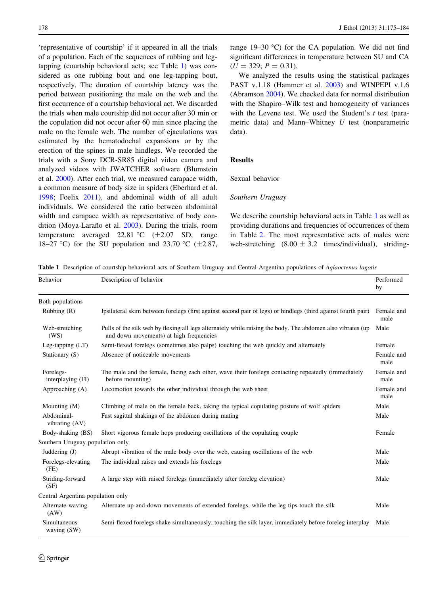<span id="page-3-0"></span>'representative of courtship' if it appeared in all the trials of a population. Each of the sequences of rubbing and legtapping (courtship behavioral acts; see Table 1) was considered as one rubbing bout and one leg-tapping bout, respectively. The duration of courtship latency was the period between positioning the male on the web and the first occurrence of a courtship behavioral act. We discarded the trials when male courtship did not occur after 30 min or the copulation did not occur after 60 min since placing the male on the female web. The number of ejaculations was estimated by the hematodochal expansions or by the erection of the spines in male hindlegs. We recorded the trials with a Sony DCR-SR85 digital video camera and analyzed videos with JWATCHER software (Blumstein et al. [2000\)](#page-7-0). After each trial, we measured carapace width, a common measure of body size in spiders (Eberhard et al. [1998;](#page-8-0) Foelix [2011\)](#page-8-0), and abdominal width of all adult individuals. We considered the ratio between abdominal width and carapace width as representative of body con-dition (Moya-Laraño et al. [2003](#page-9-0)). During the trials, room temperature averaged 22.81 °C  $(\pm 2.07 \text{ SD}, \text{range})$ 18–27 °C) for the SU population and 23.70 °C ( $\pm$ 2.87, range 19–30 °C) for the CA population. We did not find significant differences in temperature between SU and CA  $(U = 329; P = 0.31).$ 

We analyzed the results using the statistical packages PAST v.1.18 (Hammer et al. [2003\)](#page-8-0) and WINPEPI v.1.6 (Abramson [2004\)](#page-7-0). We checked data for normal distribution with the Shapiro–Wilk test and homogeneity of variances with the Levene test. We used the Student's  $t$  test (parametric data) and Mann–Whitney  $U$  test (nonparametric data).

## Results

## Sexual behavior

#### Southern Uruguay

We describe courtship behavioral acts in Table 1 as well as providing durations and frequencies of occurrences of them in Table [2.](#page-4-0) The most representative acts of males were web-stretching  $(8.00 \pm 3.2 \text{ times/individual})$ , striding-

Table 1 Description of courtship behavioral acts of Southern Uruguay and Central Argentina populations of Aglaoctenus lagotis

| Behavior                          | Description of behavior                                                                                                                                | Performed<br>by    |
|-----------------------------------|--------------------------------------------------------------------------------------------------------------------------------------------------------|--------------------|
| Both populations                  |                                                                                                                                                        |                    |
| Rubbing $(R)$                     | Ipsilateral skim between forelegs (first against second pair of legs) or hindlegs (third against fourth pair)                                          | Female and<br>male |
| Web-stretching<br>(WS)            | Pulls of the silk web by flexing all legs alternately while raising the body. The abdomen also vibrates (up<br>and down movements) at high frequencies | Male               |
| Leg-tapping $(LT)$                | Semi-flexed forelegs (sometimes also palps) touching the web quickly and alternately                                                                   | Female             |
| Stationary (S)                    | Absence of noticeable movements                                                                                                                        | Female and<br>male |
| Forelegs-<br>interplaying (FI)    | The male and the female, facing each other, wave their forelegs contacting repeatedly (immediately<br>before mounting)                                 | Female and<br>male |
| Approaching (A)                   | Locomotion towards the other individual through the web sheet                                                                                          | Female and<br>male |
| Mounting (M)                      | Climbing of male on the female back, taking the typical copulating posture of wolf spiders                                                             | Male               |
| Abdominal-<br>vibrating (AV)      | Fast sagittal shakings of the abdomen during mating                                                                                                    | Male               |
| Body-shaking (BS)                 | Short vigorous female hops producing oscillations of the copulating couple                                                                             | Female             |
| Southern Uruguay population only  |                                                                                                                                                        |                    |
| Juddering (J)                     | Abrupt vibration of the male body over the web, causing oscillations of the web                                                                        | Male               |
| Forelegs-elevating<br>(FE)        | The individual raises and extends his forelegs                                                                                                         | Male               |
| Striding-forward<br>(SF)          | A large step with raised forelegs (immediately after foreleg elevation)                                                                                | Male               |
| Central Argentina population only |                                                                                                                                                        |                    |
| Alternate-waving<br>(AW)          | Alternate up-and-down movements of extended forelegs, while the leg tips touch the silk                                                                | Male               |
| Simultaneous-<br>waving (SW)      | Semi-flexed forelegs shake simultaneously, touching the silk layer, immediately before foreleg interplay                                               | Male               |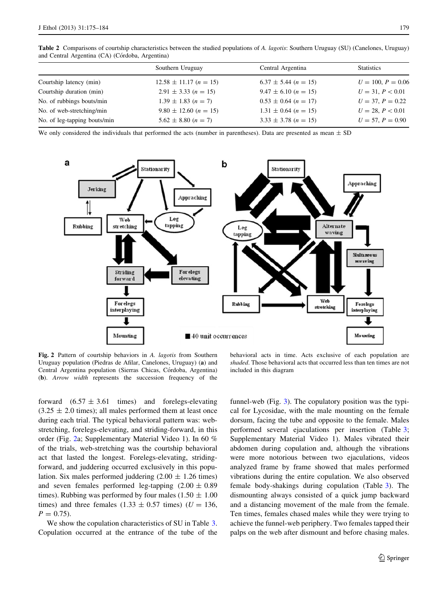| Southern Uruguay                   | Central Argentina        | <b>Statistics</b>   |
|------------------------------------|--------------------------|---------------------|
| $12.58 \pm 11.17$ ( <i>n</i> = 15) | $6.37 \pm 5.44$ (n = 15) | $U = 100, P = 0.06$ |
| $2.91 \pm 3.33$ (n = 15)           | $9.47 \pm 6.10$ (n = 15) | $U = 31, P < 0.01$  |
| $1.39 \pm 1.83$ (n = 7)            | $0.53 \pm 0.64$ (n = 17) | $U = 37, P = 0.22$  |
| $9.80 \pm 12.60 \ (n = 15)$        | $1.31 \pm 0.64$ (n = 15) | $U = 28, P < 0.01$  |
| $5.62 \pm 8.80 \; (n = 7)$         | $3.33 \pm 3.78$ (n = 15) | $U = 57, P = 0.90$  |
|                                    |                          |                     |

<span id="page-4-0"></span>Table 2 Comparisons of courtship characteristics between the studied populations of A. lagotis: Southern Uruguay (SU) (Canelones, Uruguay) and Central Argentina (CA) (Córdoba, Argentina)

We only considered the individuals that performed the acts (number in parentheses). Data are presented as mean  $\pm$  SD



Fig. 2 Pattern of courtship behaviors in A. *lagotis* from Southern Uruguay population (Piedras de Afilar, Canelones, Uruguay) (a) and Central Argentina population (Sierras Chicas, Córdoba, Argentina) (b). Arrow width represents the succession frequency of the

behavioral acts in time. Acts exclusive of each population are shaded. Those behavioral acts that occurred less than ten times are not included in this diagram

forward  $(6.57 \pm 3.61$  times) and forelegs-elevating  $(3.25 \pm 2.0 \text{ times})$ ; all males performed them at least once during each trial. The typical behavioral pattern was: webstretching, forelegs-elevating, and striding-forward, in this order (Fig. 2a; Supplementary Material Video 1). In 60 % of the trials, web-stretching was the courtship behavioral act that lasted the longest. Forelegs-elevating, stridingforward, and juddering occurred exclusively in this population. Six males performed juddering  $(2.00 \pm 1.26)$  times) and seven females performed leg-tapping  $(2.00 \pm 0.89)$ times). Rubbing was performed by four males (1.50  $\pm$  1.00 times) and three females  $(1.33 \pm 0.57)$  times)  $(U = 136)$ ,  $P = 0.75$ .

We show the copulation characteristics of SU in Table [3.](#page-5-0) Copulation occurred at the entrance of the tube of the funnel-web (Fig. [3](#page-5-0)). The copulatory position was the typical for Lycosidae, with the male mounting on the female dorsum, facing the tube and opposite to the female. Males performed several ejaculations per insertion (Table [3](#page-5-0); Supplementary Material Video 1). Males vibrated their abdomen during copulation and, although the vibrations were more notorious between two ejaculations, videos analyzed frame by frame showed that males performed vibrations during the entire copulation. We also observed female body-shakings during copulation (Table [3](#page-5-0)). The dismounting always consisted of a quick jump backward and a distancing movement of the male from the female. Ten times, females chased males while they were trying to achieve the funnel-web periphery. Two females tapped their palps on the web after dismount and before chasing males.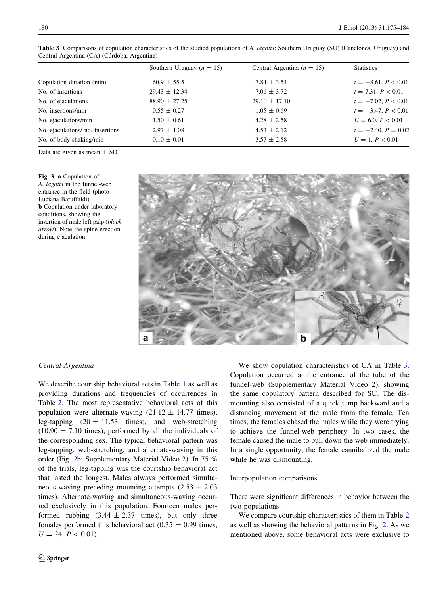|                                 | Southern Uruguay ( $n = 15$ ) | Central Argentina ( $n = 15$ ) | <b>Statistics</b>     |
|---------------------------------|-------------------------------|--------------------------------|-----------------------|
| Copulation duration (min)       | $60.9 \pm 55.5$               | $7.84 \pm 3.54$                | $t = -8.61, P < 0.01$ |
| No. of insertions               | $29.43 \pm 12.34$             | $7.06 \pm 3.72$                | $t = 7.31, P < 0.01$  |
| No. of ejaculations             | $88.90 \pm 27.25$             | $29.10 \pm 17.10$              | $t = -7.02, P < 0.01$ |
| No. insertions/min              | $0.55 \pm 0.27$               | $1.05 \pm 0.69$                | $t = -3.47, P < 0.01$ |
| No. ejaculations/min            | $1.50 \pm 0.61$               | $4.28 \pm 2.58$                | $U = 6.0, P < 0.01$   |
| No. ejaculations/no. insertions | $2.97 \pm 1.08$               | $4.53 \pm 2.12$                | $t = -2.40, P = 0.02$ |
| No. of body-shaking/min         | $0.10 \pm 0.01$               | $3.57 \pm 2.58$                | $U = 1, P < 0.01$     |
|                                 |                               |                                |                       |

<span id="page-5-0"></span>Table 3 Comparisons of copulation characteristics of the studied populations of A. lagotis: Southern Uruguay (SU) (Canelones, Uruguay) and Central Argentina (CA) (Córdoba, Argentina)

Data are given as mean  $\pm$  SD

Fig. 3 a Copulation of A. lagotis in the funnel-web entrance in the field (photo Luciana Baruffaldi). **b** Copulation under laboratory conditions, showing the insertion of male left palp (black arrow). Note the spine erection during ejaculation



## Central Argentina

We describe courtship behavioral acts in Table [1](#page-3-0) as well as providing durations and frequencies of occurrences in Table [2](#page-4-0). The most representative behavioral acts of this population were alternate-waving  $(21.12 \pm 14.77 \text{ times})$ , leg-tapping  $(20 \pm 11.53$  times), and web-stretching  $(10.90 \pm 7.10)$  times), performed by all the individuals of the corresponding sex. The typical behavioral pattern was leg-tapping, web-stretching, and alternate-waving in this order (Fig. [2b](#page-4-0); Supplementary Material Video 2). In 75 % of the trials, leg-tapping was the courtship behavioral act that lasted the longest. Males always performed simultaneous-waving preceding mounting attempts  $(2.53 \pm 2.03)$ times). Alternate-waving and simultaneous-waving occurred exclusively in this population. Fourteen males performed rubbing  $(3.44 \pm 2.37)$  times), but only three females performed this behavioral act  $(0.35 \pm 0.99)$  times,  $U = 24, P < 0.01$ .

 $\bigcirc$  Springer

We show copulation characteristics of CA in Table 3. Copulation occurred at the entrance of the tube of the funnel-web (Supplementary Material Video 2), showing the same copulatory pattern described for SU. The dismounting also consisted of a quick jump backward and a distancing movement of the male from the female. Ten times, the females chased the males while they were trying to achieve the funnel-web periphery. In two cases, the female caused the male to pull down the web immediately. In a single opportunity, the female cannibalized the male while he was dismounting.

## Interpopulation comparisons

There were significant differences in behavior between the two populations.

We compare courtship characteristics of them in Table [2](#page-4-0) as well as showing the behavioral patterns in Fig. [2.](#page-4-0) As we mentioned above, some behavioral acts were exclusive to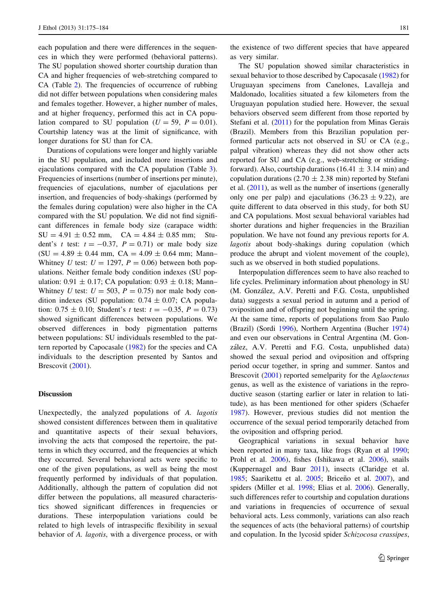each population and there were differences in the sequences in which they were performed (behavioral patterns). The SU population showed shorter courtship duration than CA and higher frequencies of web-stretching compared to CA (Table [2\)](#page-4-0). The frequencies of occurrence of rubbing did not differ between populations when considering males and females together. However, a higher number of males, and at higher frequency, performed this act in CA population compared to SU population ( $U = 59$ ,  $P = 0.01$ ). Courtship latency was at the limit of significance, with longer durations for SU than for CA.

Durations of copulations were longer and highly variable in the SU population, and included more insertions and ejaculations compared with the CA population (Table [3](#page-5-0)). Frequencies of insertions (number of insertions per minute), frequencies of ejaculations, number of ejaculations per insertion, and frequencies of body-shakings (performed by the females during copulation) were also higher in the CA compared with the SU population. We did not find significant differences in female body size (carapace width:  $SU = 4.91 \pm 0.52$  mm,  $CA = 4.84 \pm 0.85$  mm; Student's t test:  $t = -0.37$ ,  $P = 0.71$ ) or male body size  $(SU = 4.89 \pm 0.44$  mm,  $CA = 4.09 \pm 0.64$  mm; Mann-Whitney U test:  $U = 1297$ ,  $P = 0.06$ ) between both populations. Neither female body condition indexes (SU population:  $0.91 \pm 0.17$ ; CA population:  $0.93 \pm 0.18$ ; Mann– Whitney U test:  $U = 503$ ,  $P = 0.75$ ) nor male body condition indexes (SU population:  $0.74 \pm 0.07$ ; CA population:  $0.75 \pm 0.10$ ; Student's t test:  $t = -0.35$ ,  $P = 0.73$ ) showed significant differences between populations. We observed differences in body pigmentation patterns between populations: SU individuals resembled to the pattern reported by Capocasale [\(1982](#page-8-0)) for the species and CA individuals to the description presented by Santos and Brescovit ([2001\)](#page-9-0).

#### Discussion

Unexpectedly, the analyzed populations of A. lagotis showed consistent differences between them in qualitative and quantitative aspects of their sexual behaviors, involving the acts that composed the repertoire, the patterns in which they occurred, and the frequencies at which they occurred. Several behavioral acts were specific to one of the given populations, as well as being the most frequently performed by individuals of that population. Additionally, although the pattern of copulation did not differ between the populations, all measured characteristics showed significant differences in frequencies or durations. These interpopulation variations could be related to high levels of intraspecific flexibility in sexual behavior of A. lagotis, with a divergence process, or with

the existence of two different species that have appeared as very similar.

The SU population showed similar characteristics in sexual behavior to those described by Capocasale [\(1982](#page-8-0)) for Uruguayan specimens from Canelones, Lavalleja and Maldonado, localities situated a few kilometers from the Uruguayan population studied here. However, the sexual behaviors observed seem different from those reported by Stefani et al. ([2011](#page-9-0)) for the population from Minas Gerais (Brazil). Members from this Brazilian population performed particular acts not observed in SU or CA (e.g., palpal vibration) whereas they did not show other acts reported for SU and CA (e.g., web-stretching or stridingforward). Also, courtship durations (16.41  $\pm$  3.14 min) and copulation durations (2.70  $\pm$  2.38 min) reported by Stefani et al. ([2011\)](#page-9-0), as well as the number of insertions (generally only one per palp) and ejaculations  $(36.23 \pm 9.22)$ , are quite different to data observed in this study, for both SU and CA populations. Most sexual behavioral variables had shorter durations and higher frequencies in the Brazilian population. We have not found any previous reports for A. lagotis about body-shakings during copulation (which produce the abrupt and violent movement of the couple), such as we observed in both studied populations.

Interpopulation differences seem to have also reached to life cycles. Preliminary information about phenology in SU (M. González, A.V. Peretti and F.G. Costa, unpublished data) suggests a sexual period in autumn and a period of oviposition and of offspring not beginning until the spring. At the same time, reports of populations from Sao Paulo (Brazil) (Sordi [1996](#page-9-0)), Northern Argentina (Bucher [1974\)](#page-8-0) and even our observations in Central Argentina (M. González, A.V. Peretti and F.G. Costa, unpublished data) showed the sexual period and oviposition and offspring period occur together, in spring and summer. Santos and Brescovit [\(2001](#page-9-0)) reported semelparity for the Aglaoctenus genus, as well as the existence of variations in the reproductive season (starting earlier or later in relation to latitude), as has been mentioned for other spiders (Schaefer [1987](#page-9-0)). However, previous studies did not mention the occurrence of the sexual period temporarily detached from the oviposition and offspring period.

Geographical variations in sexual behavior have been reported in many taxa, like frogs (Ryan et al [1990](#page-9-0); Prohl et al. [2006](#page-9-0)), fishes (Ishikawa et al. [2006\)](#page-8-0), snails (Kuppernagel and Baur [2011\)](#page-8-0), insects (Claridge et al. [1985](#page-8-0); Saarikettu et al. [2005;](#page-9-0) Briceño et al. [2007\)](#page-8-0), and spiders (Miller et al. [1998](#page-9-0); Elias et al. [2006](#page-8-0)). Generally, such differences refer to courtship and copulation durations and variations in frequencies of occurrence of sexual behavioral acts. Less commonly, variations can also reach the sequences of acts (the behavioral patterns) of courtship and copulation. In the lycosid spider Schizocosa crassipes,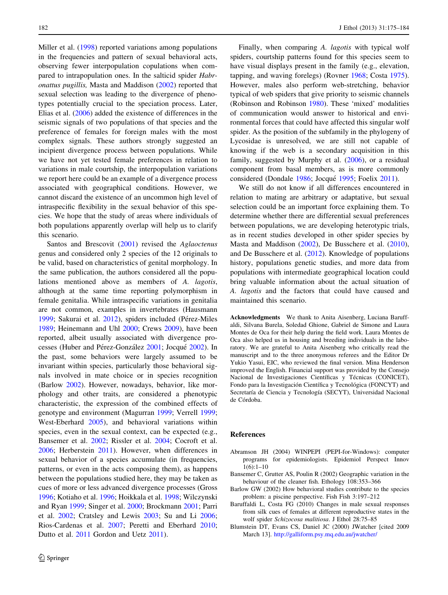<span id="page-7-0"></span>Miller et al. [\(1998](#page-9-0)) reported variations among populations in the frequencies and pattern of sexual behavioral acts, observing fewer interpopulation copulations when compared to intrapopulation ones. In the salticid spider Habronattus pugillis, Masta and Maddison [\(2002](#page-9-0)) reported that sexual selection was leading to the divergence of phenotypes potentially crucial to the speciation process. Later, Elias et al. ([2006\)](#page-8-0) added the existence of differences in the seismic signals of two populations of that species and the preference of females for foreign males with the most complex signals. These authors strongly suggested an incipient divergence process between populations. While we have not yet tested female preferences in relation to variations in male courtship, the interpopulation variations we report here could be an example of a divergence process associated with geographical conditions. However, we cannot discard the existence of an uncommon high level of intraspecific flexibility in the sexual behavior of this species. We hope that the study of areas where individuals of both populations apparently overlap will help us to clarify this scenario.

Santos and Brescovit [\(2001](#page-9-0)) revised the Aglaoctenus genus and considered only 2 species of the 12 originals to be valid, based on characteristics of genital morphology. In the same publication, the authors considered all the populations mentioned above as members of A. lagotis, although at the same time reporting polymorphism in female genitalia. While intraspecific variations in genitalia are not common, examples in invertebrates (Hausmann [1999;](#page-8-0) Sakurai et al. [2012](#page-9-0)), spiders included (Pérez-Miles [1989;](#page-9-0) Heinemann and Uhl [2000](#page-8-0); Crews [2009\)](#page-8-0), have been reported, albeit usually associated with divergence pro-cesses (Huber and Pérez-González [2001;](#page-8-0) Jocqué [2002\)](#page-8-0). In the past, some behaviors were largely assumed to be invariant within species, particularly those behavioral signals involved in mate choice or in species recognition (Barlow 2002). However, nowadays, behavior, like morphology and other traits, are considered a phenotypic characteristic, the expression of the combined effects of genotype and environment (Magurran [1999;](#page-8-0) Verrell [1999](#page-9-0); West-Eberhard [2005\)](#page-9-0), and behavioral variations within species, even in the sexual context, can be expected (e.g., Bansemer et al. 2002; Rissler et al. [2004;](#page-9-0) Cocroft et al. [2006;](#page-8-0) Herberstein [2011](#page-8-0)). However, when differences in sexual behavior of a species accumulate (in frequencies, patterns, or even in the acts composing them), as happens between the populations studied here, they may be taken as cues of more or less advanced divergence processes (Gross [1996;](#page-8-0) Kotiaho et al. [1996](#page-8-0); Hoikkala et al. [1998](#page-8-0); Wilczynski and Ryan [1999](#page-9-0); Singer et al. [2000](#page-9-0); Brockmann [2001](#page-8-0); Parri et al. [2002](#page-9-0); Cratsley and Lewis [2003](#page-8-0); Su and Li [2006](#page-9-0); Rios-Cardenas et al. [2007;](#page-9-0) Peretti and Eberhard [2010](#page-9-0); Dutto et al. [2011](#page-8-0) Gordon and Uetz [2011\)](#page-8-0).

Finally, when comparing A. *lagotis* with typical wolf spiders, courtship patterns found for this species seem to have visual displays present in the family (e.g., elevation, tapping, and waving forelegs) (Rovner [1968;](#page-9-0) Costa [1975](#page-8-0)). However, males also perform web-stretching, behavior typical of web spiders that give priority to seismic channels (Robinson and Robinson [1980\)](#page-9-0). These 'mixed' modalities of communication would answer to historical and environmental forces that could have affected this singular wolf spider. As the position of the subfamily in the phylogeny of Lycosidae is unresolved, we are still not capable of knowing if the web is a secondary acquisition in this family, suggested by Murphy et al. ([2006](#page-9-0)), or a residual component from basal members, as is more commonly considered (Dondale [1986](#page-8-0); Jocqué [1995](#page-8-0); Foelix [2011](#page-8-0)).

We still do not know if all differences encountered in relation to mating are arbitrary or adaptative, but sexual selection could be an important force explaining them. To determine whether there are differential sexual preferences between populations, we are developing heterotypic trials, as in recent studies developed in other spider species by Masta and Maddison [\(2002\)](#page-9-0), De Busschere et al. [\(2010](#page-8-0)), and De Busschere et al. ([2012](#page-8-0)). Knowledge of populations history, populations genetic studies, and more data from populations with intermediate geographical location could bring valuable information about the actual situation of A. lagotis and the factors that could have caused and maintained this scenario.

Acknowledgments We thank to Anita Aisenberg, Luciana Baruffaldi, Silvana Burela, Soledad Ghione, Gabriel de Simone and Laura Montes de Oca for their help during the field work. Laura Montes de Oca also helped us in housing and breeding individuals in the laboratory. We are grateful to Anita Aisenberg who critically read the manuscript and to the three anonymous referees and the Editor Dr Yukio Yasui, EIC, who reviewed the final version. Mina Henderson improved the English. Financial support was provided by the Consejo Nacional de Investigaciones Científicas y Técnicas (CONICET), Fondo para la Investigación Científica y Tecnológica (FONCYT) and Secretaría de Ciencia y Tecnología (SECYT), Universidad Nacional de Córdoba.

## References

- Abramson JH (2004) WINPEPI (PEPI-for-Windows): computer programs for epidemiologists. Epidemiol Perspect Innov  $1(6):1-10$
- Bansemer C, Grutter AS, Poulin R (2002) Geographic variation in the behaviour of the cleaner fish. Ethology 108:353–366
- Barlow GW (2002) How behavioral studies contribute to the species problem: a piscine perspective. Fish Fish 3:197–212
- Baruffaldi L, Costa FG (2010) Changes in male sexual responses from silk cues of females at different reproductive states in the wolf spider Schizocosa malitiosa. J Ethol 28:75–85
- Blumstein DT, Evans CS, Daniel JC (2000) JWatcher [cited 2009 March 13]. <http://galliform.psy.mq.edu.au/jwatcher/>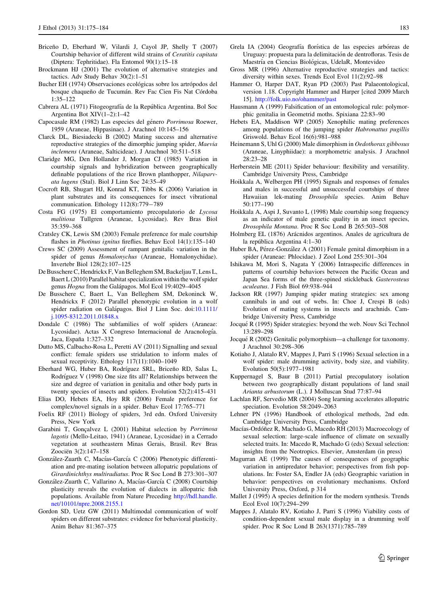- <span id="page-8-0"></span>Briceño D, Eberhard W, Vilardi J, Cayol JP, Shelly T (2007) Courtship behavior of different wild strains of Ceratitis capitata (Diptera: Tephritidae). Fla Entomol 90(1):15–18
- Brockmann HJ (2001) The evolution of alternative strategies and tactics. Adv Study Behav 30(2):1–51
- Bucher EH (1974) Observaciones ecológicas sobre los artrópodos del bosque chaqueño de Tucumán. Rev Fac Cien Fis Nat Córdoba 1:35–122
- Cabrera AL (1971) Fitogeografía de la República Argentina. Bol Soc Argentina Bot XIV(1–2):1–42
- Capocasale RM (1982) Las especies del género Porrimosa Roewer, 1959 (Araneae, Hippasinae). J Arachnol 10:145–156
- Clarck DL, Biesiadecki B (2002) Mating success and alternative reproductive strategies of the dimorphic jumping spider, Maevia inclemens (Araneae, Salticideae). J Arachnol 30:511–518
- Claridge MG, Den Hollander J, Morgan CJ (1985) Variation in courtship signals and hybridization between geographically definable populations of the rice Brown planthopper, Nilaparvata lugens (Stal). Biol J Linn Soc 24:35–49
- Cocroft RB, Shugart HJ, Konrad KT, Tibbs K (2006) Variation in plant substrates and its consequences for insect vibrational communication. Ethology 112(8):779-789
- Costa FG (1975) El comportamiento precopulatorio de Lycosa malitiosa Tullgren (Araneae, Lycosidae). Rev Bras Biol 35:359–368
- Cratsley CK, Lewis SM (2003) Female preference for male courtship flashes in *Photinus ignitus* fireflies. Behav Ecol 14(1):135–140
- Crews SC (2009) Assessment of rampant genitalic variation in the spider of genus Homalonychus (Araneae, Homalonychidae). Invertebr Biol 128(2):107–125
- De Busschere C, Hendrickx F, Van Belleghem SM, Backeljau T, Lens L, Baert L (2010) Parallel habitat specialization within the wolf spider genus Hogna from the Galápagos. Mol Ecol 19:4029-4045
- De Busschere C, Baert L, Van Belleghem SM, Dekoninck W, Hendrickx F (2012) Parallel phenotypic evolution in a wolf spider radiation on Galápagos. Biol J Linn Soc. doi[:10.1111/](http://dx.doi.org/10.1111/j.1095-8312.2011.01848.x) [j.1095-8312.2011.01848.x](http://dx.doi.org/10.1111/j.1095-8312.2011.01848.x)
- Dondale C (1986) The subfamilies of wolf spiders (Araneae: Lycosidae). Actas X Congreso Internacional de Aracnología. Jaca, España 1:327-332
- Dutto MS, Calbacho-Rosa L, Peretti AV (2011) Signalling and sexual conflict: female spiders use stridulation to inform males of sexual receptivity. Ethology 117(11):1040–1049
- Eberhard WG, Huber BA, Rodríguez SRL, Briceño RD, Salas L, Rodríguez V (1998) One size fits all? Relationships between the size and degree of variation in genitalia and other body parts in twenty species of insects and spiders. Evolution 52(2):415–431
- Elias DO, Hebets EA, Hoy RR (2006) Female preference for complex/novel signals in a spider. Behav Ecol 17:765–771
- Foelix RF (2011) Biology of spiders, 3rd edn. Oxford University Press, New York
- Garabini T, Gonçalvez L (2001) Habitat selection by Porrimosa lagotis (Mello-Leitao, 1941) (Araneae, Lycosidae) in a Cerrado vegetation at southeastern Minas Gerais, Brasil. Rev Bras Zoociën 3(2):147-158
- González-Zuarth C, Macías-García C (2006) Phenotypic differentiation and pre-mating isolation between allopatric populations of Girardinichthys multiradiatus. Proc R Soc Lond B 273:301–307
- González-Zuarth C, Vallarino A, Macías-García C (2008) Courtship plasticity reveals the evolution of dialects in allopatric fish populations. Available from Nature Preceding [http://hdl.handle.](http://hdl.handle.net/10101/npre.2008.2155.1) [net/10101/npre.2008.2155.1](http://hdl.handle.net/10101/npre.2008.2155.1)
- Gordon SD, Uetz GW (2011) Multimodal communication of wolf spiders on different substrates: evidence for behavioral plasticity. Anim Behav 81:367–375
- Grela IA (2004) Geografía florística de las especies arbóreas de Uruguay: propuesta para la delimitación de dentrofloras. Tesis de Maestría en Ciencias Biológicas, UdelaR, Montevideo
- Gross MR (1996) Alternative reproductive strategies and tactics: diversity within sexes. Trends Ecol Evol 11(2):92–98
- Hammer O, Harper DAT, Ryan PD (2003) Past Palaeontological, version 1.18. Copyright Hammer and Harper [cited 2009 March 15]. <http://folk.uio.no/ohammer/past>
- Hausmann A (1999) Falsification of an entomological rule: polymorphic genitalia in Geometrid moths. Spixiana 22:83–90
- Hebets EA, Maddison WP (2005) Xenophilic mating preferences among populations of the jumping spider Habronattus pugillis Griswold. Behav Ecol 16(6):981–988
- Heinemann S, Uhl G (2000) Male dimorphism in Oedothorax gibbosus (Araneae, Linyphiidae): a morphometric analysis. J Arachnol 28:23–28
- Herberstein ME (2011) Spider behaviour: flexibility and versatility. Cambridge University Press, Cambridge
- Hoikkala A, Welbergen PH (1995) Signals and responses of females and males in successful and unsuccessful courtships of three Hawaiian lek-mating Drosophila species. Anim Behav 50:177–190
- Hoikkala A, Aspi J, Suvanto L (1998) Male courtship song frequency as an indicator of male genetic quality in an insect species, Drosophila Montana. Proc R Soc Lond B 265:503–508
- Holmberg EL (1876) Arácnidos argentinos. Anales de agricultura de la república Argentina 4:1-30
- Huber BA, Pérez-González A (2001) Female genital dimorphism in a spider (Araneae: Phlocidae). J Zool Lond 255:301–304
- Ishikawa M, Mori S, Nagata Y (2006) Intraspecific differences in patterns of courtship behaviors between the Pacific Ocean and Japan Sea forms of the three-spined stickleback Gasterosteus aculeatus. J Fish Biol 69:938–944
- Jackson RR (1997) Jumping spider mating strategies: sex among cannibals in and out of webs. In: Choe J, Crespi B (eds) Evolution of mating systems in insects and arachnids. Cambridge University Press, Cambridge
- Jocqué R (1995) Spider strategies: beyond the web. Nouv Sci Technol 13:289–298
- Jocqué R (2002) Genitalic polymorphism—a challenge for taxonomy. J Arachnol 30:298–306
- Kotiaho J, Alatalo RV, Mappes J, Parri S (1996) Sexual selection in a wolf spider: male drumming activity, body size, and viability. Evolution 50(5):1977–1981
- Kuppernagel S, Baur B (2011) Partial precopulatory isolation between two geographically distant populations of land snail Arianta arbustorum (L.). J Molluscan Stud 77:87–94
- Lachlan RF, Servedio MR (2004) Song learning accelerates allopatric speciation. Evolution 58:2049–2063
- Lehner PN (1996) Handbook of ethological methods, 2nd edn. Cambridge University Press, Cambridge
- Macías-Ordóñez R, Machado G, Macedo RH (2013) Macroecology of sexual selection: large-scale influence of climate on sexually selected traits. In: Macedo R, Machado G (eds) Sexual selection: insights from the Neotropics. Elsevier, Amsterdam (in press)
- Magurran AE (1999) The causes of consequences of geographic variation in antipredator behavior; perspectives from fish populations. In: Foster SA, Endler JA (eds) Geographic variation in behavior: perspectives on evolutionary mechanisms. Oxford University Press, Oxford, p 314
- Mallet J (1995) A species definition for the modern synthesis. Trends Ecol Evol 10(7):294–299
- Mappes J, Alatalo RV, Kotiaho J, Parri S (1996) Viability costs of condition-dependent sexual male display in a drumming wolf spider. Proc R Soc Lond B 263(1371):785–789